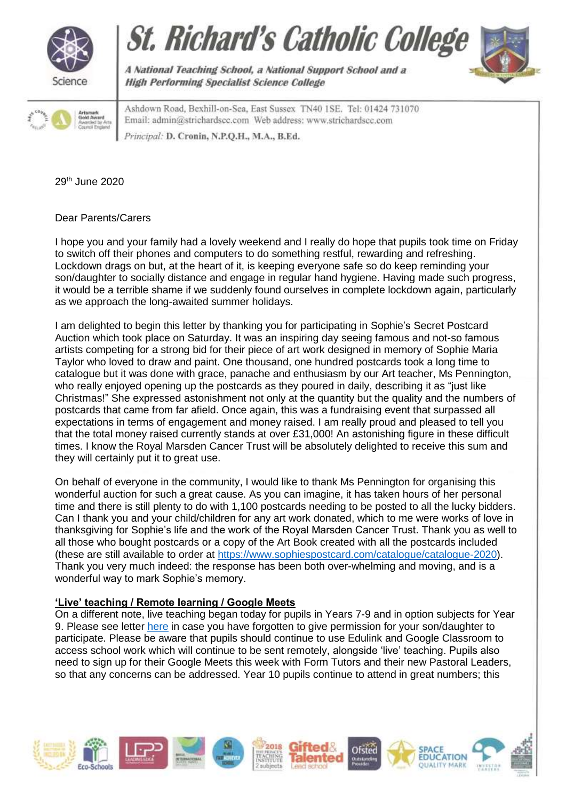







A National Teaching School, a National Support School and a **High Performing Specialist Science College** 

Ashdown Road, Bexhill-on-Sea, East Sussex TN40 1SE. Tel: 01424 731070 Email: admin@strichardscc.com Web address: www.strichardscc.com rincipal: D. Cronin, N.P.Q.H., M.A., B.Ed.

29th June 2020

Dear Parents/Carers

I hope you and your family had a lovely weekend and I really do hope that pupils took time on Friday to switch off their phones and computers to do something restful, rewarding and refreshing. Lockdown drags on but, at the heart of it, is keeping everyone safe so do keep reminding your son/daughter to socially distance and engage in regular hand hygiene. Having made such progress, it would be a terrible shame if we suddenly found ourselves in complete lockdown again, particularly as we approach the long-awaited summer holidays.

I am delighted to begin this letter by thanking you for participating in Sophie's Secret Postcard Auction which took place on Saturday. It was an inspiring day seeing famous and not-so famous artists competing for a strong bid for their piece of art work designed in memory of Sophie Maria Taylor who loved to draw and paint. One thousand, one hundred postcards took a long time to catalogue but it was done with grace, panache and enthusiasm by our Art teacher, Ms Pennington, who really enjoyed opening up the postcards as they poured in daily, describing it as "just like Christmas!" She expressed astonishment not only at the quantity but the quality and the numbers of postcards that came from far afield. Once again, this was a fundraising event that surpassed all expectations in terms of engagement and money raised. I am really proud and pleased to tell you that the total money raised currently stands at over £31,000! An astonishing figure in these difficult times. I know the Royal Marsden Cancer Trust will be absolutely delighted to receive this sum and they will certainly put it to great use.

On behalf of everyone in the community, I would like to thank Ms Pennington for organising this wonderful auction for such a great cause. As you can imagine, it has taken hours of her personal time and there is still plenty to do with 1,100 postcards needing to be posted to all the lucky bidders. Can I thank you and your child/children for any art work donated, which to me were works of love in thanksgiving for Sophie's life and the work of the Royal Marsden Cancer Trust. Thank you as well to all those who bought postcards or a copy of the Art Book created with all the postcards included (these are still available to order at [https://www.sophiespostcard.com/catalogue/catalogue-2020\)](https://www.sophiespostcard.com/catalogue/catalogue-2020). Thank you very much indeed: the response has been both over-whelming and moving, and is a wonderful way to mark Sophie's memory.

# **'Live' teaching / Remote learning / Google Meets**

On a different note, live teaching began today for pupils in Years 7-9 and in option subjects for Year 9. Please see letter [here](https://www.strichardscc.com/wp-content/uploads/2020/06/Coronavirus-letter_260620.pdf) in case you have forgotten to give permission for your son/daughter to participate. Please be aware that pupils should continue to use Edulink and Google Classroom to access school work which will continue to be sent remotely, alongside 'live' teaching. Pupils also need to sign up for their Google Meets this week with Form Tutors and their new Pastoral Leaders, so that any concerns can be addressed. Year 10 pupils continue to attend in great numbers; this

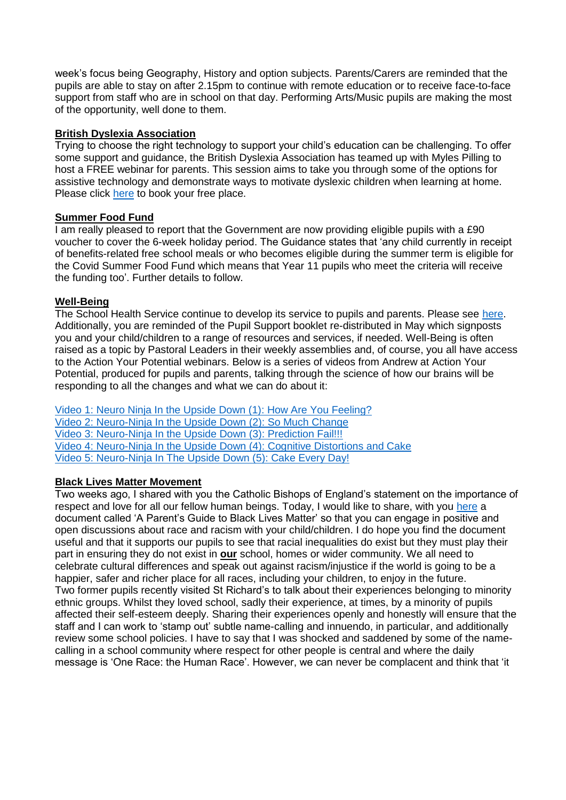week's focus being Geography, History and option subjects. Parents/Carers are reminded that the pupils are able to stay on after 2.15pm to continue with remote education or to receive face-to-face support from staff who are in school on that day. Performing Arts/Music pupils are making the most of the opportunity, well done to them.

### **British Dyslexia Association**

Trying to choose the right technology to support your child's education can be challenging. To offer some support and guidance, the British Dyslexia Association has teamed up with Myles Pilling to host a FREE webinar for parents. This session aims to take you through some of the options for assistive technology and demonstrate ways to motivate dyslexic children when learning at home. Please click [here](https://www.bdadyslexia.org.uk/news/assistive-technology-and-the-dyslexic-learner-free-webinar-for-parents) to book your free place.

## **Summer Food Fund**

I am really pleased to report that the Government are now providing eligible pupils with a £90 voucher to cover the 6-week holiday period. The Guidance states that 'any child currently in receipt of benefits-related free school meals or who becomes eligible during the summer term is eligible for the Covid Summer Food Fund which means that Year 11 pupils who meet the criteria will receive the funding too'. Further details to follow.

## **Well-Being**

The School Health Service continue to develop its service to pupils and parents. Please see [here.](https://drive.google.com/file/d/1sdle7t2gdTcchG61j1a2fv5vonS3Y65i/view?usp=sharing) Additionally, you are reminded of the Pupil Support booklet re-distributed in May which signposts you and your child/children to a range of resources and services, if needed. Well-Being is often raised as a topic by Pastoral Leaders in their weekly assemblies and, of course, you all have access to the Action Your Potential webinars. Below is a series of videos from Andrew at Action Your Potential, produced for pupils and parents, talking through the science of how our brains will be responding to all the changes and what we can do about it:

[Video 1: Neuro Ninja In the Upside Down](https://www.youtube.com/watch?v=oIAQlYjoSE0) (1): How Are You Feeling? [Video 2: Neuro-Ninja In the Upside Down \(2\): So Much Change](https://www.youtube.com/watch?v=gEC8qEVudHA) [Video 3: Neuro-Ninja In the Upside Down \(3\): Prediction Fail!!!](https://www.youtube.com/watch?v=jKgwD4Frf0k) [Video 4: Neuro-Ninja In the Upside Down \(4\): Cognitive Distortions and Cake](https://www.youtube.com/watch?v=zTEFdMZlebI) [Video 5: Neuro-Ninja In The Upside Down \(5\): Cake Every Day!](https://www.youtube.com/watch?v=fDxlN7uRLec)

### **Black Lives Matter Movement**

Two weeks ago, I shared with you the Catholic Bishops of England's statement on the importance of respect and love for all our fellow human beings. Today, I would like to share, with you [here](https://yoopies.co.uk/c/press-releases/blacklivesmatter) a document called 'A Parent's Guide to Black Lives Matter' so that you can engage in positive and open discussions about race and racism with your child/children. I do hope you find the document useful and that it supports our pupils to see that racial inequalities do exist but they must play their part in ensuring they do not exist in **our** school, homes or wider community. We all need to celebrate cultural differences and speak out against racism/injustice if the world is going to be a happier, safer and richer place for all races, including your children, to enjoy in the future. Two former pupils recently visited St Richard's to talk about their experiences belonging to minority ethnic groups. Whilst they loved school, sadly their experience, at times, by a minority of pupils affected their self-esteem deeply. Sharing their experiences openly and honestly will ensure that the staff and I can work to 'stamp out' subtle name-calling and innuendo, in particular, and additionally review some school policies. I have to say that I was shocked and saddened by some of the namecalling in a school community where respect for other people is central and where the daily message is 'One Race: the Human Race'. However, we can never be complacent and think that 'it